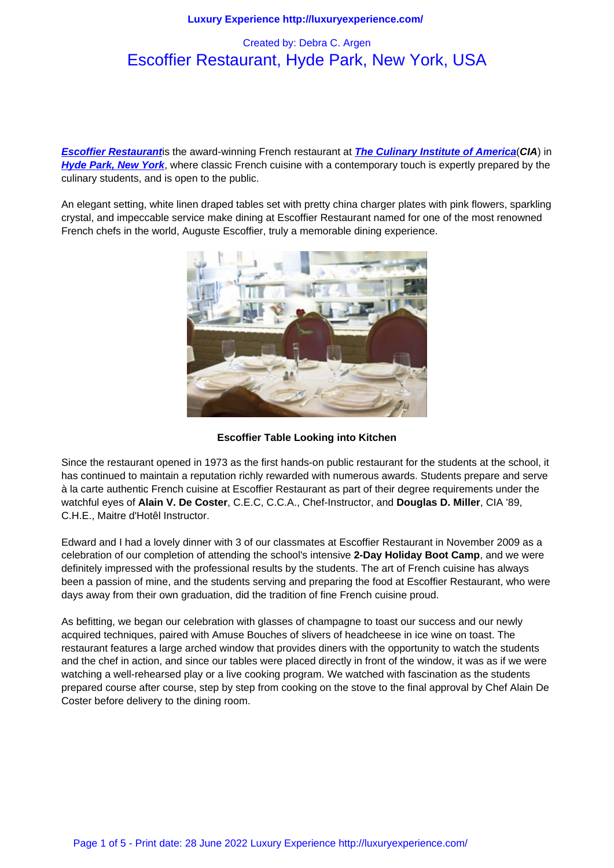# Escoffier Restaurant, Hyde Park, New York, USA

**Escoffier Restaurant**is the award-winning French restaurant at **The Culinary Institute of America**(**CIA**) in **Hyde Park, New York**, where classic French cuisine with a contemporary touch is expertly prepared by the culinary students, and is open to the public.

[An elegant setting, wh](http://www.ciachef.edu/restaurants/escoffier/)ite linen draped tables set with pretty chin[a charger plates with pink flowers, sp](http://www.ciachef.edu/)arkling [crystal, and impeccable](http://www.dutchesstourism.com/) service make dining at Escoffier Restaurant named for one of the most renowned French chefs in the world, Auguste Escoffier, truly a memorable dining experience.



**Escoffier Table Looking into Kitchen**

Since the restaurant opened in 1973 as the first hands-on public restaurant for the students at the school, it has continued to maintain a reputation richly rewarded with numerous awards. Students prepare and serve à la carte authentic French cuisine at Escoffier Restaurant as part of their degree requirements under the watchful eyes of **Alain V. De Coster**, C.E.C, C.C.A., Chef-Instructor, and **Douglas D. Miller**, CIA '89, C.H.E., Maitre d'Hotêl Instructor.

Edward and I had a lovely dinner with 3 of our classmates at Escoffier Restaurant in November 2009 as a celebration of our completion of attending the school's intensive **2-Day Holiday Boot Camp**, and we were definitely impressed with the professional results by the students. The art of French cuisine has always been a passion of mine, and the students serving and preparing the food at Escoffier Restaurant, who were days away from their own graduation, did the tradition of fine French cuisine proud.

As befitting, we began our celebration with glasses of champagne to toast our success and our newly acquired techniques, paired with Amuse Bouches of slivers of headcheese in ice wine on toast. The restaurant features a large arched window that provides diners with the opportunity to watch the students and the chef in action, and since our tables were placed directly in front of the window, it was as if we were watching a well-rehearsed play or a live cooking program. We watched with fascination as the students prepared course after course, step by step from cooking on the stove to the final approval by Chef Alain De Coster before delivery to the dining room.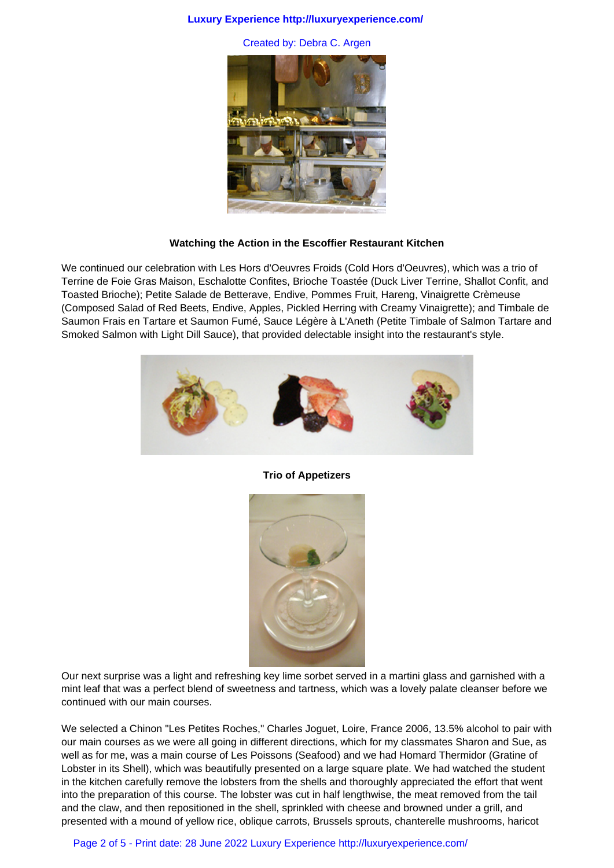## **Luxury Experience http://luxuryexperience.com/**

Created by: Debra C. Argen



# **Watching the Action in the Escoffier Restaurant Kitchen**

We continued our celebration with Les Hors d'Oeuvres Froids (Cold Hors d'Oeuvres), which was a trio of Terrine de Foie Gras Maison, Eschalotte Confites, Brioche Toastée (Duck Liver Terrine, Shallot Confit, and Toasted Brioche); Petite Salade de Betterave, Endive, Pommes Fruit, Hareng, Vinaigrette Crèmeuse (Composed Salad of Red Beets, Endive, Apples, Pickled Herring with Creamy Vinaigrette); and Timbale de Saumon Frais en Tartare et Saumon Fumé, Sauce Légère à L'Aneth (Petite Timbale of Salmon Tartare and Smoked Salmon with Light Dill Sauce), that provided delectable insight into the restaurant's style.



#### **Trio of Appetizers**



Our next surprise was a light and refreshing key lime sorbet served in a martini glass and garnished with a mint leaf that was a perfect blend of sweetness and tartness, which was a lovely palate cleanser before we continued with our main courses.

We selected a Chinon "Les Petites Roches," Charles Joguet, Loire, France 2006, 13.5% alcohol to pair with our main courses as we were all going in different directions, which for my classmates Sharon and Sue, as well as for me, was a main course of Les Poissons (Seafood) and we had Homard Thermidor (Gratine of Lobster in its Shell), which was beautifully presented on a large square plate. We had watched the student in the kitchen carefully remove the lobsters from the shells and thoroughly appreciated the effort that went into the preparation of this course. The lobster was cut in half lengthwise, the meat removed from the tail and the claw, and then repositioned in the shell, sprinkled with cheese and browned under a grill, and presented with a mound of yellow rice, oblique carrots, Brussels sprouts, chanterelle mushrooms, haricot

Page 2 of 5 - Print date: 28 June 2022 Luxury Experience http://luxuryexperience.com/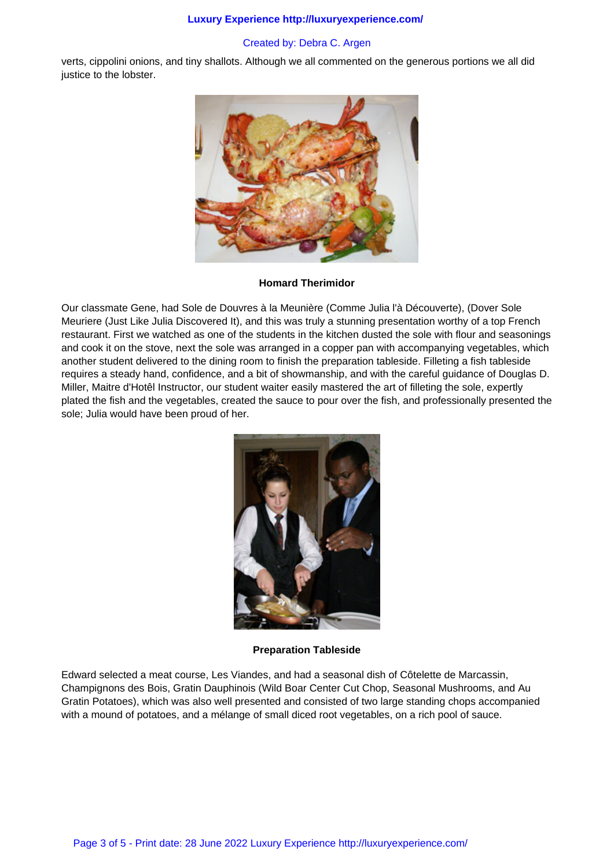#### **Luxury Experience http://luxuryexperience.com/**

## Created by: Debra C. Argen

verts, cippolini onions, and tiny shallots. Although we all commented on the generous portions we all did justice to the lobster.



#### **Homard Therimidor**

Our classmate Gene, had Sole de Douvres à la Meunière (Comme Julia l'à Découverte), (Dover Sole Meuriere (Just Like Julia Discovered It), and this was truly a stunning presentation worthy of a top French restaurant. First we watched as one of the students in the kitchen dusted the sole with flour and seasonings and cook it on the stove, next the sole was arranged in a copper pan with accompanying vegetables, which another student delivered to the dining room to finish the preparation tableside. Filleting a fish tableside requires a steady hand, confidence, and a bit of showmanship, and with the careful guidance of Douglas D. Miller, Maitre d'Hotêl Instructor, our student waiter easily mastered the art of filleting the sole, expertly plated the fish and the vegetables, created the sauce to pour over the fish, and professionally presented the sole; Julia would have been proud of her.



**Preparation Tableside**

Edward selected a meat course, Les Viandes, and had a seasonal dish of Côtelette de Marcassin, Champignons des Bois, Gratin Dauphinois (Wild Boar Center Cut Chop, Seasonal Mushrooms, and Au Gratin Potatoes), which was also well presented and consisted of two large standing chops accompanied with a mound of potatoes, and a mélange of small diced root vegetables, on a rich pool of sauce.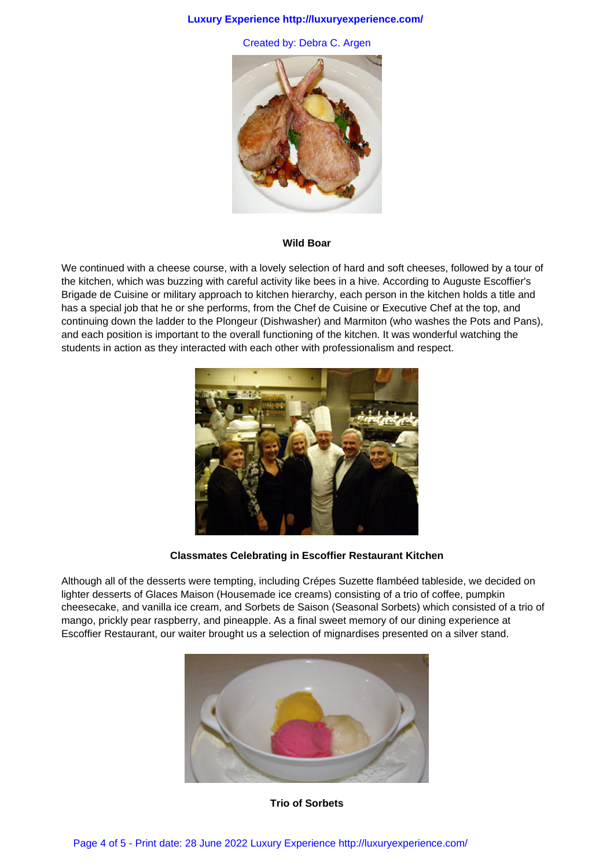#### **Luxury Experience http://luxuryexperience.com/**

Created by: Debra C. Argen



#### **Wild Boar**

We continued with a cheese course, with a lovely selection of hard and soft cheeses, followed by a tour of the kitchen, which was buzzing with careful activity like bees in a hive. According to Auguste Escoffier's Brigade de Cuisine or military approach to kitchen hierarchy, each person in the kitchen holds a title and has a special job that he or she performs, from the Chef de Cuisine or Executive Chef at the top, and continuing down the ladder to the Plongeur (Dishwasher) and Marmiton (who washes the Pots and Pans), and each position is important to the overall functioning of the kitchen. It was wonderful watching the students in action as they interacted with each other with professionalism and respect.



# **Classmates Celebrating in Escoffier Restaurant Kitchen**

Although all of the desserts were tempting, including Crépes Suzette flambéed tableside, we decided on lighter desserts of Glaces Maison (Housemade ice creams) consisting of a trio of coffee, pumpkin cheesecake, and vanilla ice cream, and Sorbets de Saison (Seasonal Sorbets) which consisted of a trio of mango, prickly pear raspberry, and pineapple. As a final sweet memory of our dining experience at Escoffier Restaurant, our waiter brought us a selection of mignardises presented on a silver stand.



**Trio of Sorbets**